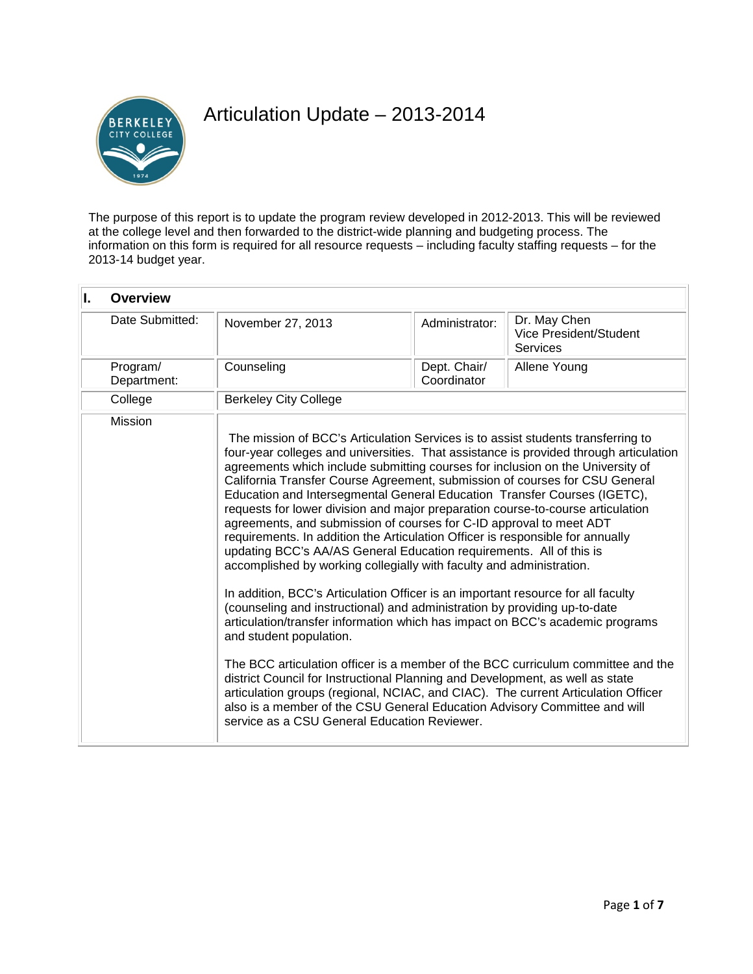

# Articulation Update – 2013-2014

The purpose of this report is to update the program review developed in 2012-2013. This will be reviewed at the college level and then forwarded to the district-wide planning and budgeting process. The information on this form is required for all resource requests – including faculty staffing requests – for the 2013-14 budget year.

| II. | <b>Overview</b>         |                                                                                                                                                                                                                                                                                                                                                                                                                                                                                                                                                                                                                                                                                                                                                                                                                                                                                                                                                                                                                                                                                                                                                                                                                                                                                                                                                                                                                                                                                       |                             |                                                           |  |
|-----|-------------------------|---------------------------------------------------------------------------------------------------------------------------------------------------------------------------------------------------------------------------------------------------------------------------------------------------------------------------------------------------------------------------------------------------------------------------------------------------------------------------------------------------------------------------------------------------------------------------------------------------------------------------------------------------------------------------------------------------------------------------------------------------------------------------------------------------------------------------------------------------------------------------------------------------------------------------------------------------------------------------------------------------------------------------------------------------------------------------------------------------------------------------------------------------------------------------------------------------------------------------------------------------------------------------------------------------------------------------------------------------------------------------------------------------------------------------------------------------------------------------------------|-----------------------------|-----------------------------------------------------------|--|
|     | Date Submitted:         | November 27, 2013                                                                                                                                                                                                                                                                                                                                                                                                                                                                                                                                                                                                                                                                                                                                                                                                                                                                                                                                                                                                                                                                                                                                                                                                                                                                                                                                                                                                                                                                     | Administrator:              | Dr. May Chen<br>Vice President/Student<br><b>Services</b> |  |
|     | Program/<br>Department: | Counseling                                                                                                                                                                                                                                                                                                                                                                                                                                                                                                                                                                                                                                                                                                                                                                                                                                                                                                                                                                                                                                                                                                                                                                                                                                                                                                                                                                                                                                                                            | Dept. Chair/<br>Coordinator | Allene Young                                              |  |
|     | College                 | <b>Berkeley City College</b>                                                                                                                                                                                                                                                                                                                                                                                                                                                                                                                                                                                                                                                                                                                                                                                                                                                                                                                                                                                                                                                                                                                                                                                                                                                                                                                                                                                                                                                          |                             |                                                           |  |
|     | <b>Mission</b>          | The mission of BCC's Articulation Services is to assist students transferring to<br>four-year colleges and universities. That assistance is provided through articulation<br>agreements which include submitting courses for inclusion on the University of<br>California Transfer Course Agreement, submission of courses for CSU General<br>Education and Intersegmental General Education Transfer Courses (IGETC),<br>requests for lower division and major preparation course-to-course articulation<br>agreements, and submission of courses for C-ID approval to meet ADT<br>requirements. In addition the Articulation Officer is responsible for annually<br>updating BCC's AA/AS General Education requirements. All of this is<br>accomplished by working collegially with faculty and administration.<br>In addition, BCC's Articulation Officer is an important resource for all faculty<br>(counseling and instructional) and administration by providing up-to-date<br>articulation/transfer information which has impact on BCC's academic programs<br>and student population.<br>The BCC articulation officer is a member of the BCC curriculum committee and the<br>district Council for Instructional Planning and Development, as well as state<br>articulation groups (regional, NCIAC, and CIAC). The current Articulation Officer<br>also is a member of the CSU General Education Advisory Committee and will<br>service as a CSU General Education Reviewer. |                             |                                                           |  |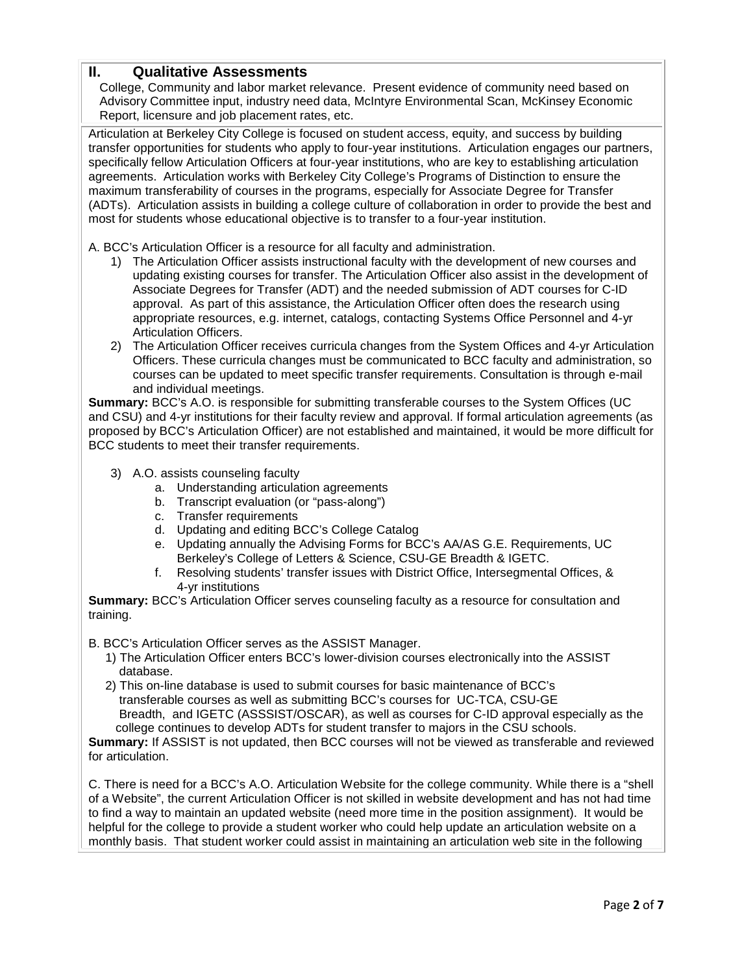### **II. Qualitative Assessments**

College, Community and labor market relevance. Present evidence of community need based on Advisory Committee input, industry need data, McIntyre Environmental Scan, McKinsey Economic Report, licensure and job placement rates, etc.

Articulation at Berkeley City College is focused on student access, equity, and success by building transfer opportunities for students who apply to four-year institutions. Articulation engages our partners, specifically fellow Articulation Officers at four-year institutions, who are key to establishing articulation agreements. Articulation works with Berkeley City College's Programs of Distinction to ensure the maximum transferability of courses in the programs, especially for Associate Degree for Transfer (ADTs). Articulation assists in building a college culture of collaboration in order to provide the best and most for students whose educational objective is to transfer to a four-year institution.

A. BCC's Articulation Officer is a resource for all faculty and administration.

- 1) The Articulation Officer assists instructional faculty with the development of new courses and updating existing courses for transfer. The Articulation Officer also assist in the development of Associate Degrees for Transfer (ADT) and the needed submission of ADT courses for C-ID approval. As part of this assistance, the Articulation Officer often does the research using appropriate resources, e.g. internet, catalogs, contacting Systems Office Personnel and 4-yr Articulation Officers.
- 2) The Articulation Officer receives curricula changes from the System Offices and 4-yr Articulation Officers. These curricula changes must be communicated to BCC faculty and administration, so courses can be updated to meet specific transfer requirements. Consultation is through e-mail and individual meetings.

**Summary:** BCC's A.O. is responsible for submitting transferable courses to the System Offices (UC and CSU) and 4-yr institutions for their faculty review and approval. If formal articulation agreements (as proposed by BCC's Articulation Officer) are not established and maintained, it would be more difficult for BCC students to meet their transfer requirements.

- 3) A.O. assists counseling faculty
	- a. Understanding articulation agreements
	- b. Transcript evaluation (or "pass-along")
	- c. Transfer requirements
	- d. Updating and editing BCC's College Catalog
	- e. Updating annually the Advising Forms for BCC's AA/AS G.E. Requirements, UC Berkeley's College of Letters & Science, CSU-GE Breadth & IGETC.
	- f. Resolving students' transfer issues with District Office, Intersegmental Offices, & 4-yr institutions

**Summary:** BCC's Articulation Officer serves counseling faculty as a resource for consultation and training.

- B. BCC's Articulation Officer serves as the ASSIST Manager.
	- 1) The Articulation Officer enters BCC's lower-division courses electronically into the ASSIST database.
	- 2) This on-line database is used to submit courses for basic maintenance of BCC's transferable courses as well as submitting BCC's courses for UC-TCA, CSU-GE Breadth, and IGETC (ASSSIST/OSCAR), as well as courses for C-ID approval especially as the college continues to develop ADTs for student transfer to majors in the CSU schools.

**Summary:** If ASSIST is not updated, then BCC courses will not be viewed as transferable and reviewed for articulation.

C. There is need for a BCC's A.O. Articulation Website for the college community. While there is a "shell of a Website", the current Articulation Officer is not skilled in website development and has not had time to find a way to maintain an updated website (need more time in the position assignment). It would be helpful for the college to provide a student worker who could help update an articulation website on a monthly basis. That student worker could assist in maintaining an articulation web site in the following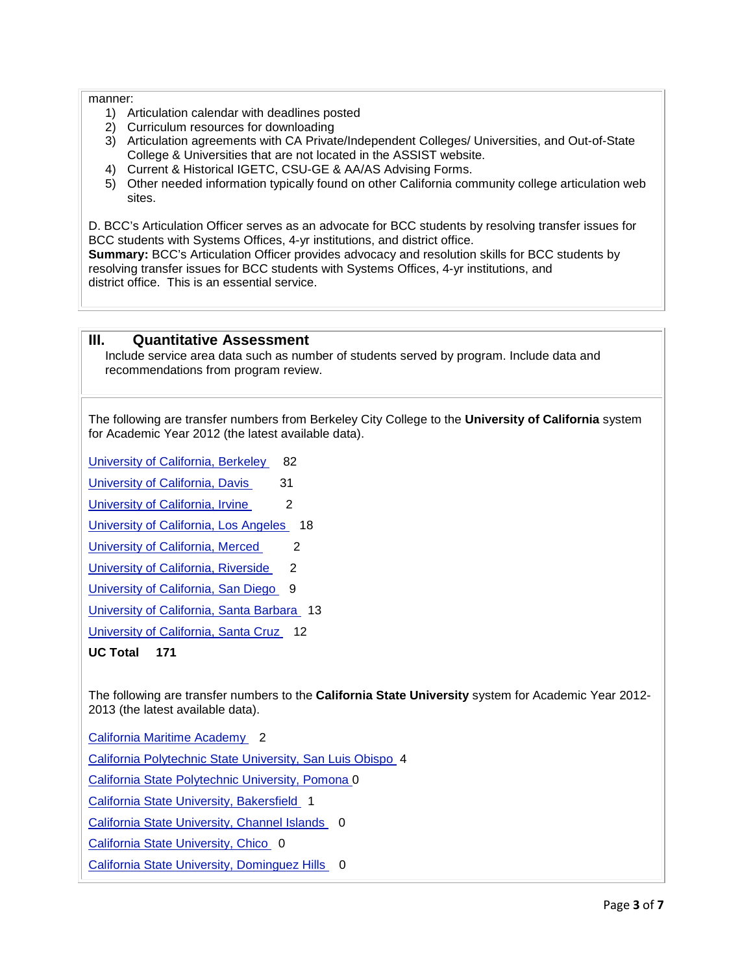#### manner:

- 1) Articulation calendar with deadlines posted
- 2) Curriculum resources for downloading
- 3) Articulation agreements with CA Private/Independent Colleges/ Universities, and Out-of-State College & Universities that are not located in the ASSIST website.
- 4) Current & Historical IGETC, CSU-GE & AA/AS Advising Forms.
- 5) Other needed information typically found on other California community college articulation web sites.

D. BCC's Articulation Officer serves as an advocate for BCC students by resolving transfer issues for BCC students with Systems Offices, 4-yr institutions, and district office.

**Summary:** BCC's Articulation Officer provides advocacy and resolution skills for BCC students by resolving transfer issues for BCC students with Systems Offices, 4-yr institutions, and district office. This is an essential service.

#### **III. Quantitative Assessment**

Include service area data such as number of students served by program. Include data and recommendations from program review.

The following are transfer numbers from Berkeley City College to the **University of California** system for Academic Year 2012 (the latest available data).

[University of California, Berkeley](http://www.cpec.ca.gov/OnLineData/TransferPathwayChart.asp?Inst=A0001A) 82

[University of California, Davis](http://www.cpec.ca.gov/OnLineData/TransferPathwayChart.asp?Inst=A0002A) 31

[University of California, Irvine](http://www.cpec.ca.gov/OnLineData/TransferPathwayChart.asp?Inst=A0003A) 2

[University of California, Los Angeles](http://www.cpec.ca.gov/OnLineData/TransferPathwayChart.asp?Inst=A0004A) 18

[University of California, Merced](http://www.cpec.ca.gov/OnLineData/TransferPathwayChart.asp?Inst=A0010A) 2

[University of California, Riverside](http://www.cpec.ca.gov/OnLineData/TransferPathwayChart.asp?Inst=A0005A) 2

[University of California, San Diego](http://www.cpec.ca.gov/OnLineData/TransferPathwayChart.asp?Inst=A0006A) 9

[University of California, Santa Barbara](http://www.cpec.ca.gov/OnLineData/TransferPathwayChart.asp?Inst=A0008A) 13

[University of California, Santa Cruz](http://www.cpec.ca.gov/OnLineData/TransferPathwayChart.asp?Inst=A0009A) 12

**UC Total 171**

The following are transfer numbers to the **California State University** system for Academic Year 2012- 2013 (the latest available data).

[California Maritime Academy](http://www.cpec.ca.gov/OnLineData/TransferPathwayChart.asp?Inst=B0022A) 2

[California Polytechnic State University, San Luis Obispo](http://www.cpec.ca.gov/OnLineData/TransferPathwayChart.asp?Inst=B0017A) 4

[California State Polytechnic University, Pomona 0](http://www.cpec.ca.gov/OnLineData/TransferPathwayChart.asp?Inst=B0011A)

[California State University, Bakersfield](http://www.cpec.ca.gov/OnLineData/TransferPathwayChart.asp?Inst=B0001A) 1

[California State University, Channel Islands](http://www.cpec.ca.gov/OnLineData/TransferPathwayChart.asp?Inst=B0024A) 0

[California State University, Chico](http://www.cpec.ca.gov/OnLineData/TransferPathwayChart.asp?Inst=B0002A) 0

[California State University, Dominguez Hills](http://www.cpec.ca.gov/OnLineData/TransferPathwayChart.asp?Inst=B0003A) 0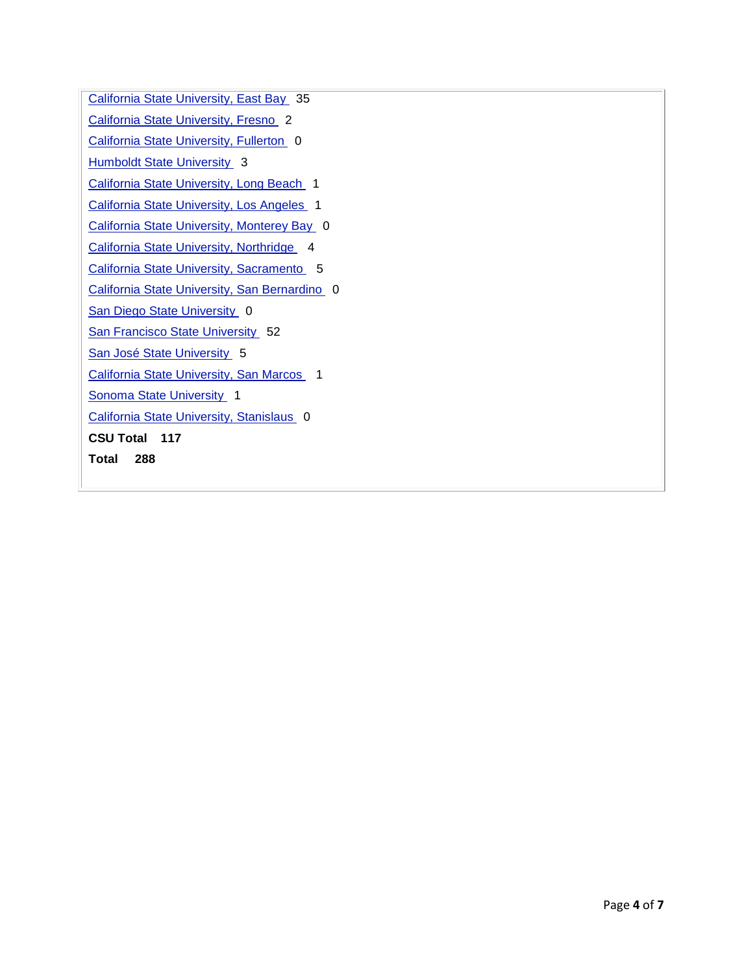[California State University, East Bay](http://www.cpec.ca.gov/OnLineData/TransferPathwayChart.asp?Inst=B0006A) 35 [California State University, Fresno](http://www.cpec.ca.gov/OnLineData/TransferPathwayChart.asp?Inst=B0004A) [California State University, Fullerton](http://www.cpec.ca.gov/OnLineData/TransferPathwayChart.asp?Inst=B0005A) **[Humboldt State University](http://www.cpec.ca.gov/OnLineData/TransferPathwayChart.asp?Inst=B0007A)** [California State University, Long Beach](http://www.cpec.ca.gov/OnLineData/TransferPathwayChart.asp?Inst=B0008A) [California State University, Los Angeles](http://www.cpec.ca.gov/OnLineData/TransferPathwayChart.asp?Inst=B0009A) [California State University, Monterey Bay](http://www.cpec.ca.gov/OnLineData/TransferPathwayChart.asp?Inst=B0023A) 0 [California State University, Northridge](http://www.cpec.ca.gov/OnLineData/TransferPathwayChart.asp?Inst=B0010A) 4 [California State University, Sacramento](http://www.cpec.ca.gov/OnLineData/TransferPathwayChart.asp?Inst=B0012A) 5 [California State University, San Bernardino](http://www.cpec.ca.gov/OnLineData/TransferPathwayChart.asp?Inst=B0013A) [San Diego State University](http://www.cpec.ca.gov/OnLineData/TransferPathwayChart.asp?Inst=B0014A) [San Francisco State University](http://www.cpec.ca.gov/OnLineData/TransferPathwayChart.asp?Inst=B0015A) [San José State University](http://www.cpec.ca.gov/OnLineData/TransferPathwayChart.asp?Inst=B0016A) [California State University, San Marcos](http://www.cpec.ca.gov/OnLineData/TransferPathwayChart.asp?Inst=B0021A) [Sonoma State University](http://www.cpec.ca.gov/OnLineData/TransferPathwayChart.asp?Inst=B0018A) [California State University, Stanislaus](http://www.cpec.ca.gov/OnLineData/TransferPathwayChart.asp?Inst=B0019A) **CSU Total 117 Total 288**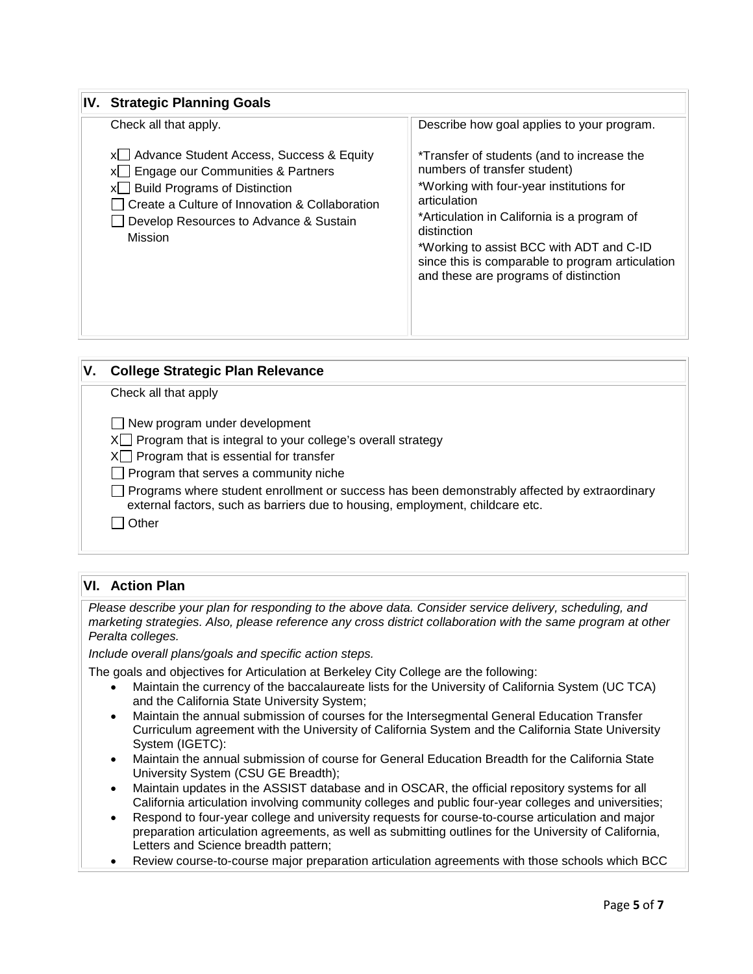| <b>IV. Strategic Planning Goals</b>                                                                                                                                                                                                                                                                                                           |  |  |  |  |
|-----------------------------------------------------------------------------------------------------------------------------------------------------------------------------------------------------------------------------------------------------------------------------------------------------------------------------------------------|--|--|--|--|
| Describe how goal applies to your program.                                                                                                                                                                                                                                                                                                    |  |  |  |  |
| *Transfer of students (and to increase the<br>numbers of transfer student)<br>*Working with four-year institutions for<br>articulation<br>*Articulation in California is a program of<br>distinction<br>*Working to assist BCC with ADT and C-ID<br>since this is comparable to program articulation<br>and these are programs of distinction |  |  |  |  |
|                                                                                                                                                                                                                                                                                                                                               |  |  |  |  |

| <b>College Strategic Plan Relevance</b>                                                                                                                                                                                                                                                                                                                                                                   |
|-----------------------------------------------------------------------------------------------------------------------------------------------------------------------------------------------------------------------------------------------------------------------------------------------------------------------------------------------------------------------------------------------------------|
| Check all that apply                                                                                                                                                                                                                                                                                                                                                                                      |
| $\Box$ New program under development<br>$X \cap$ Program that is integral to your college's overall strategy<br>$X \cap$ Program that is essential for transfer<br>$\Box$ Program that serves a community niche<br>Programs where student enrollment or success has been demonstrably affected by extraordinary<br>external factors, such as barriers due to housing, employment, childcare etc.<br>Other |
|                                                                                                                                                                                                                                                                                                                                                                                                           |

## **VI. Action Plan**

*Please describe your plan for responding to the above data. Consider service delivery, scheduling, and marketing strategies. Also, please reference any cross district collaboration with the same program at other Peralta colleges.* 

*Include overall plans/goals and specific action steps.*

The goals and objectives for Articulation at Berkeley City College are the following:

- Maintain the currency of the baccalaureate lists for the University of California System (UC TCA) and the California State University System;
- Maintain the annual submission of courses for the Intersegmental General Education Transfer Curriculum agreement with the University of California System and the California State University System (IGETC):
- Maintain the annual submission of course for General Education Breadth for the California State University System (CSU GE Breadth);
- Maintain updates in the ASSIST database and in OSCAR, the official repository systems for all California articulation involving community colleges and public four-year colleges and universities;
- Respond to four-year college and university requests for course-to-course articulation and major preparation articulation agreements, as well as submitting outlines for the University of California, Letters and Science breadth pattern;
- Review course-to-course major preparation articulation agreements with those schools which BCC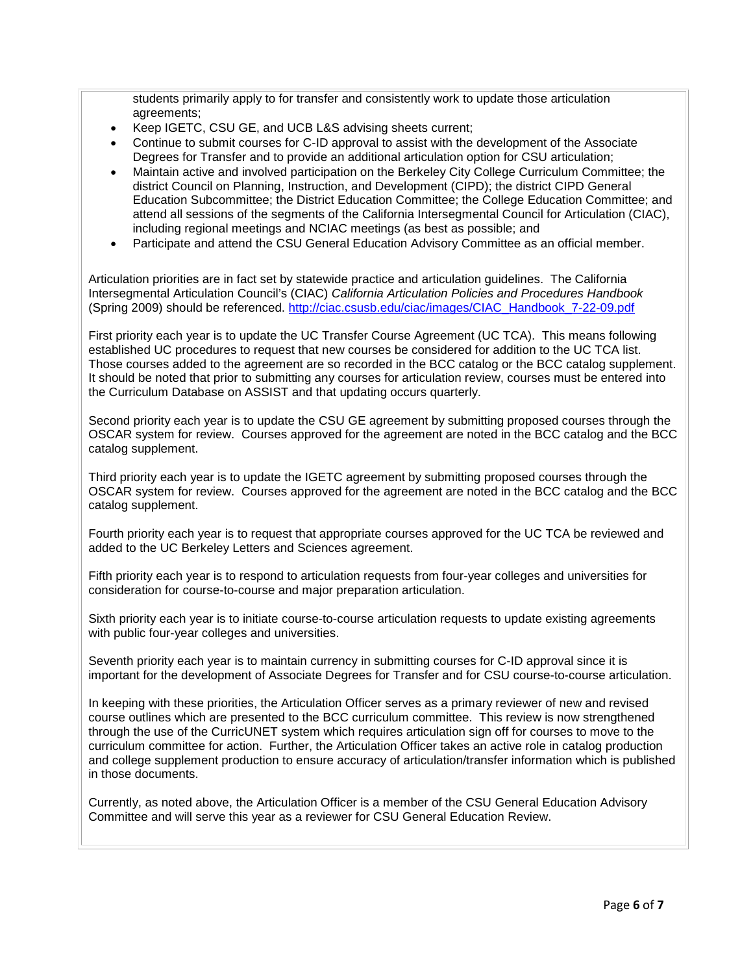students primarily apply to for transfer and consistently work to update those articulation agreements;

- Keep IGETC, CSU GE, and UCB L&S advising sheets current;
- Continue to submit courses for C-ID approval to assist with the development of the Associate Degrees for Transfer and to provide an additional articulation option for CSU articulation;
- Maintain active and involved participation on the Berkeley City College Curriculum Committee; the district Council on Planning, Instruction, and Development (CIPD); the district CIPD General Education Subcommittee; the District Education Committee; the College Education Committee; and attend all sessions of the segments of the California Intersegmental Council for Articulation (CIAC), including regional meetings and NCIAC meetings (as best as possible; and
- Participate and attend the CSU General Education Advisory Committee as an official member.

Articulation priorities are in fact set by statewide practice and articulation guidelines. The California Intersegmental Articulation Council's (CIAC) *California Articulation Policies and Procedures Handbook*  (Spring 2009) should be referenced. [http://ciac.csusb.edu/ciac/images/CIAC\\_Handbook\\_7-22-09.pdf](http://ciac.csusb.edu/ciac/images/CIAC_Handbook_7-22-09.pdf)

First priority each year is to update the UC Transfer Course Agreement (UC TCA). This means following established UC procedures to request that new courses be considered for addition to the UC TCA list. Those courses added to the agreement are so recorded in the BCC catalog or the BCC catalog supplement. It should be noted that prior to submitting any courses for articulation review, courses must be entered into the Curriculum Database on ASSIST and that updating occurs quarterly.

Second priority each year is to update the CSU GE agreement by submitting proposed courses through the OSCAR system for review. Courses approved for the agreement are noted in the BCC catalog and the BCC catalog supplement.

Third priority each year is to update the IGETC agreement by submitting proposed courses through the OSCAR system for review. Courses approved for the agreement are noted in the BCC catalog and the BCC catalog supplement.

Fourth priority each year is to request that appropriate courses approved for the UC TCA be reviewed and added to the UC Berkeley Letters and Sciences agreement.

Fifth priority each year is to respond to articulation requests from four-year colleges and universities for consideration for course-to-course and major preparation articulation.

Sixth priority each year is to initiate course-to-course articulation requests to update existing agreements with public four-year colleges and universities.

Seventh priority each year is to maintain currency in submitting courses for C-ID approval since it is important for the development of Associate Degrees for Transfer and for CSU course-to-course articulation.

In keeping with these priorities, the Articulation Officer serves as a primary reviewer of new and revised course outlines which are presented to the BCC curriculum committee. This review is now strengthened through the use of the CurricUNET system which requires articulation sign off for courses to move to the curriculum committee for action. Further, the Articulation Officer takes an active role in catalog production and college supplement production to ensure accuracy of articulation/transfer information which is published in those documents.

Currently, as noted above, the Articulation Officer is a member of the CSU General Education Advisory Committee and will serve this year as a reviewer for CSU General Education Review.